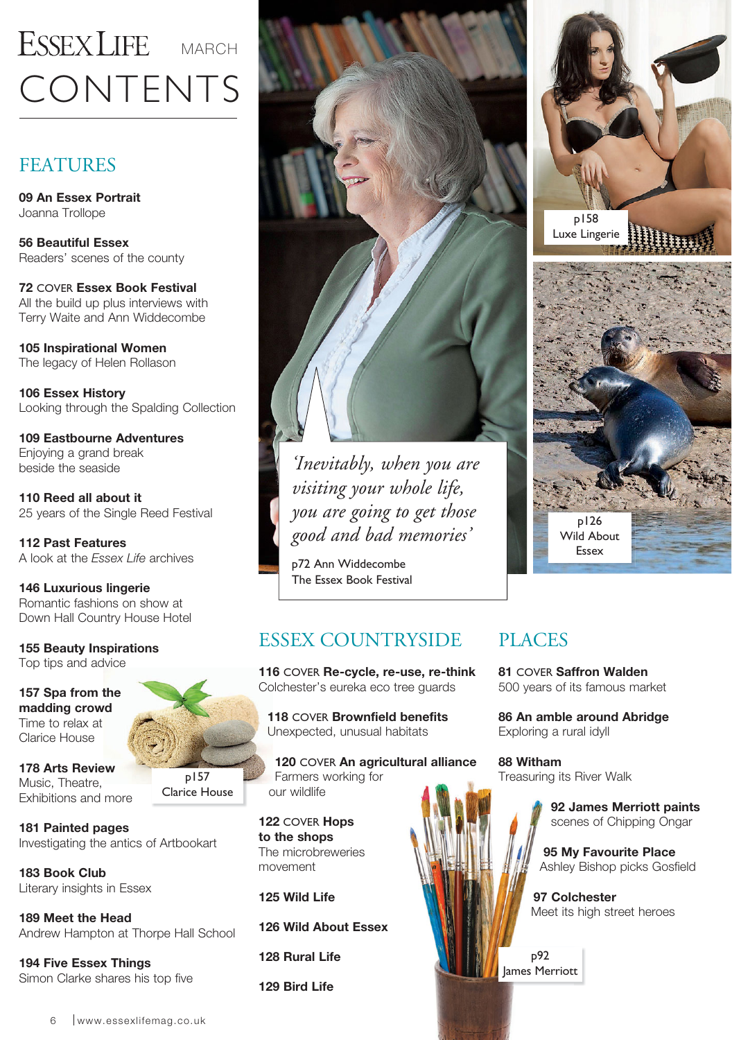## CONTENTS ESSEX LIFE MARCH

#### **FEATURES**

**09 An Essex Portrait**  Joanna Trollope

**56 Beautiful Essex**  Readers' scenes of the county

**72** COVER **Essex Book Festival**  All the build up plus interviews with Terry Waite and Ann Widdecombe

**105 Inspirational Women**  The legacy of Helen Rollason

**106 Essex History**  Looking through the Spalding Collection

**109 Eastbourne Adventures**  Enjoying a grand break beside the seaside

**110 Reed all about it**  25 years of the Single Reed Festival

**112 Past Features**  A look at the *Essex Life* archives

**146 Luxurious lingerie**  Romantic fashions on show at Down Hall Country House Hotel

**155 Beauty Inspirations**  Top tips and advice

**157 Spa from the madding crowd**  Time to relax at Clarice House

**178 Arts Review**  Music, Theatre, Exhibitions and more

p157 Clarice House

**181 Painted pages**  Investigating the antics of Artbookart

**183 Book Club**  Literary insights in Essex

**189 Meet the Head**  Andrew Hampton at Thorpe Hall School

**194 Five Essex Things**  Simon Clarke shares his top five



*'Inevitably, when you are visiting your whole life, you are going to get those good and bad memories'* 

p72 Ann Widdecombe The Essex Book Festival

### ESSEX COUNTRYSIDE

**116** COVER **Re-cycle, re-use, re-think** Colchester's eureka eco tree guards

**118** COVER **Brownfield benefits**  Unexpected, unusual habitats

**120** COVER **An agricultural alliance** Farmers working for our wildlife

**122** COVER **Hops to the shops**  The microbreweries movement

**125 Wild Life** 

**126 Wild About Essex** 

**128 Rural Life**

**129 Bird Life**



p126 Wild About Essex

### PLACES

**81** COVER **Saffron Walden** 500 years of its famous market

**86 An amble around Abridge**  Exploring a rural idyll

**88 Witham**  Treasuring its River Walk

> **92 James Merriott paints**  scenes of Chipping Ongar

**95 My Favourite Place**  Ashley Bishop picks Gosfield

**97 Colchester**  Meet its high street heroes

p92 James Merriott